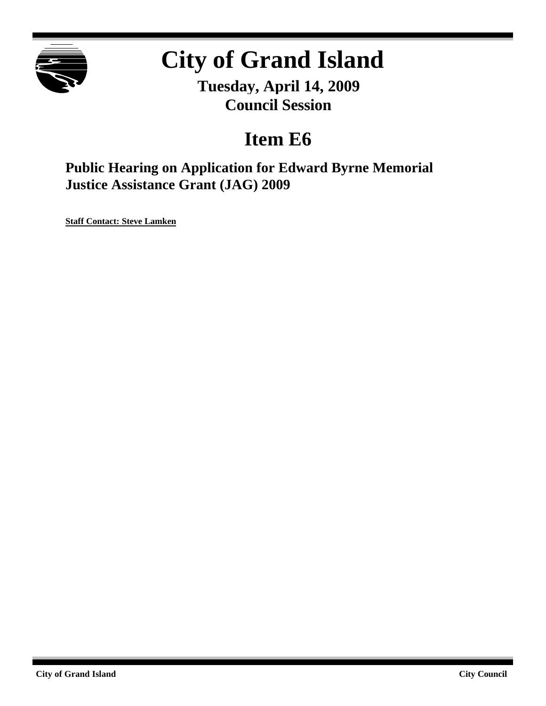

# **City of Grand Island**

**Tuesday, April 14, 2009 Council Session**

# **Item E6**

**Public Hearing on Application for Edward Byrne Memorial Justice Assistance Grant (JAG) 2009**

**Staff Contact: Steve Lamken**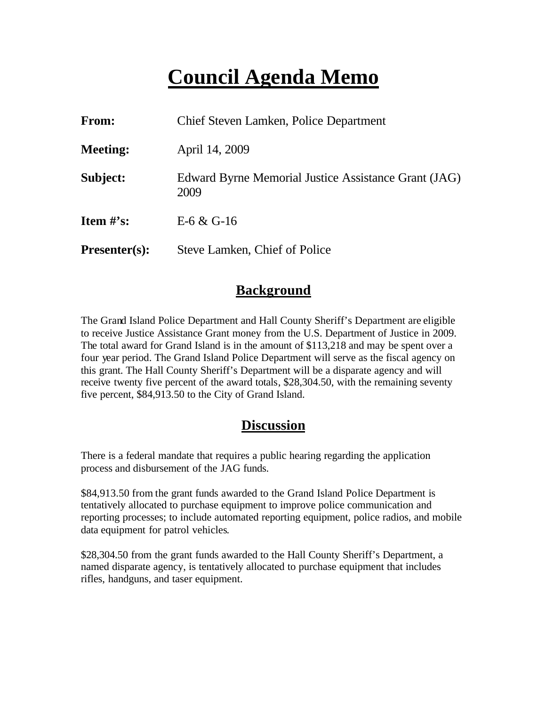# **Council Agenda Memo**

| From:                | Chief Steven Lamken, Police Department                       |
|----------------------|--------------------------------------------------------------|
| <b>Meeting:</b>      | April 14, 2009                                               |
| Subject:             | Edward Byrne Memorial Justice Assistance Grant (JAG)<br>2009 |
| Item $\#$ 's:        | E-6 & G-16                                                   |
| <b>Presenter(s):</b> | Steve Lamken, Chief of Police                                |

### **Background**

The Grand Island Police Department and Hall County Sheriff's Department are eligible to receive Justice Assistance Grant money from the U.S. Department of Justice in 2009. The total award for Grand Island is in the amount of \$113,218 and may be spent over a four year period. The Grand Island Police Department will serve as the fiscal agency on this grant. The Hall County Sheriff's Department will be a disparate agency and will receive twenty five percent of the award totals, \$28,304.50, with the remaining seventy five percent, \$84,913.50 to the City of Grand Island.

### **Discussion**

There is a federal mandate that requires a public hearing regarding the application process and disbursement of the JAG funds.

\$84,913.50 from the grant funds awarded to the Grand Island Police Department is tentatively allocated to purchase equipment to improve police communication and reporting processes; to include automated reporting equipment, police radios, and mobile data equipment for patrol vehicles.

\$28,304.50 from the grant funds awarded to the Hall County Sheriff's Department, a named disparate agency, is tentatively allocated to purchase equipment that includes rifles, handguns, and taser equipment.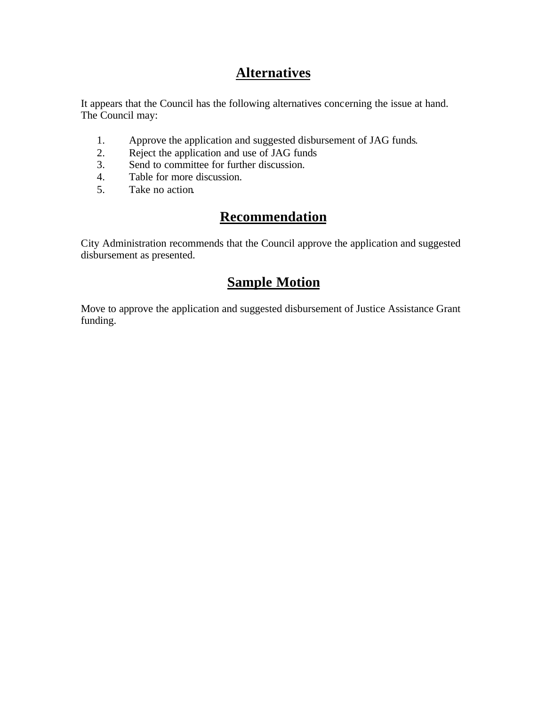# **Alternatives**

It appears that the Council has the following alternatives concerning the issue at hand. The Council may:

- 1. Approve the application and suggested disbursement of JAG funds.
- 2. Reject the application and use of JAG funds<br>3. Send to committee for further discussion.
- Send to committee for further discussion.
- 4. Table for more discussion.
- 5. Take no action.

# **Recommendation**

City Administration recommends that the Council approve the application and suggested disbursement as presented.

## **Sample Motion**

Move to approve the application and suggested disbursement of Justice Assistance Grant funding.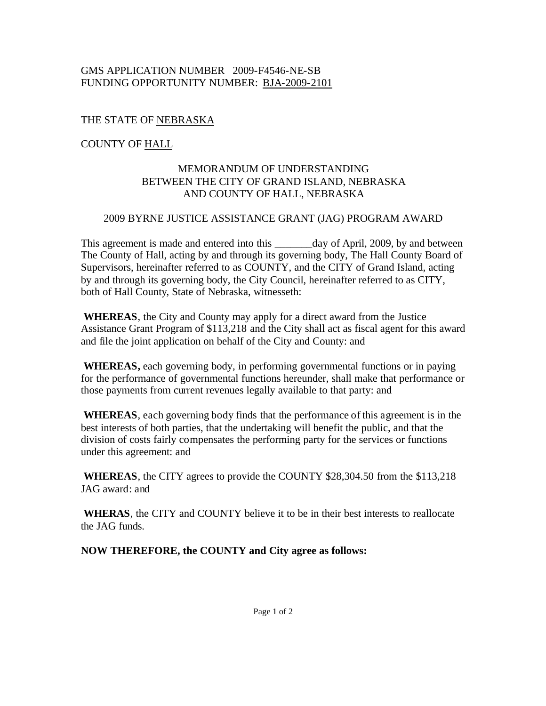#### GMS APPLICATION NUMBER 2009-F4546-NE-SB FUNDING OPPORTUNITY NUMBER: BJA-2009-2101

#### THE STATE OF NEBRASKA

#### COUNTY OF HALL

#### MEMORANDUM OF UNDERSTANDING BETWEEN THE CITY OF GRAND ISLAND, NEBRASKA AND COUNTY OF HALL, NEBRASKA

#### 2009 BYRNE JUSTICE ASSISTANCE GRANT (JAG) PROGRAM AWARD

This agreement is made and entered into this \_\_\_\_\_\_\_day of April, 2009, by and between The County of Hall, acting by and through its governing body, The Hall County Board of Supervisors, hereinafter referred to as COUNTY, and the CITY of Grand Island, acting by and through its governing body, the City Council, hereinafter referred to as CITY, both of Hall County, State of Nebraska, witnesseth:

**WHEREAS**, the City and County may apply for a direct award from the Justice Assistance Grant Program of \$113,218 and the City shall act as fiscal agent for this award and file the joint application on behalf of the City and County: and

**WHEREAS,** each governing body, in performing governmental functions or in paying for the performance of governmental functions hereunder, shall make that performance or those payments from current revenues legally available to that party: and

 **WHEREAS**, each governing body finds that the performance of this agreement is in the best interests of both parties, that the undertaking will benefit the public, and that the division of costs fairly compensates the performing party for the services or functions under this agreement: and

**WHEREAS**, the CITY agrees to provide the COUNTY \$28,304.50 from the \$113,218 JAG award: and

**WHERAS**, the CITY and COUNTY believe it to be in their best interests to reallocate the JAG funds.

**NOW THEREFORE, the COUNTY and City agree as follows:**